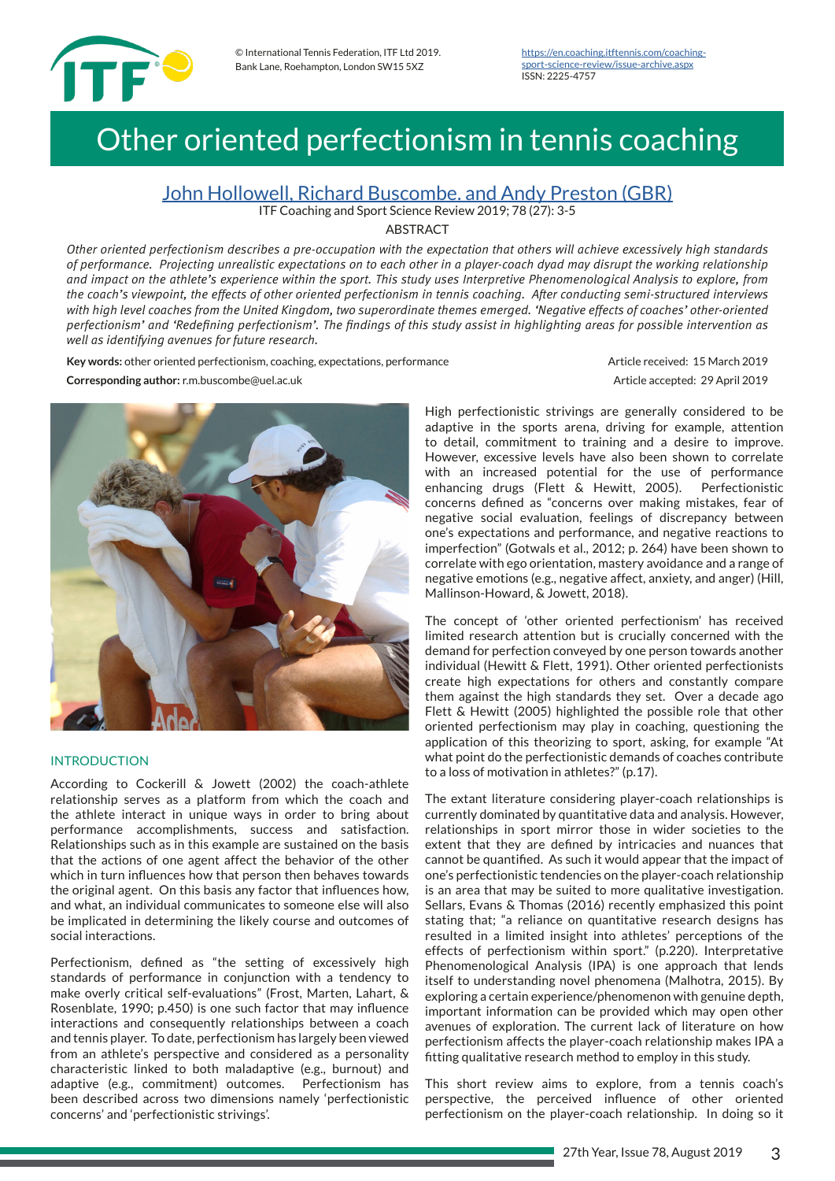

# Other oriented perfectionism in tennis coaching

# John Hollowell, Richard Buscombe. and Andy Preston (GBR)

ITF Coaching and Sport Science Review 2019; 78 (27): 3-5

## **ARSTRACT**

*Other oriented perfectionism describes a pre-occupation with the expectation that others will achieve excessively high standards of performance. Projecting unrealistic expectations on to each other in a player-coach dyad may disrupt the working relationship and impact on the athlete's experience within the sport. This study uses Interpretive Phenomenological Analysis to explore, from the coach's viewpoint, the effects of other oriented perfectionism in tennis coaching. After conducting semi-structured interviews with high level coaches from the United Kingdom, two superordinate themes emerged. 'Negative effects of coaches' other-oriented perfectionism' and 'Redefning perfectionism'. The fndings of this study assist in highlighting areas for possible intervention as well as identifying avenues for future research.*

Key words: other oriented perfectionism, coaching, expectations, performance Article received: 15 March 2019 **Corresponding author:** r.m.buscombe@uel.ac.uk Article accepted: 29 April 2019



## INTRODUCTION

According to Cockerill & Jowett (2002) the coach-athlete relationship serves as a platform from which the coach and the athlete interact in unique ways in order to bring about performance accomplishments, success and satisfaction. Relationships such as in this example are sustained on the basis that the actions of one agent affect the behavior of the other which in turn infuences how that person then behaves towards the original agent. On this basis any factor that infuences how, and what, an individual communicates to someone else will also be implicated in determining the likely course and outcomes of social interactions.

Perfectionism, defned as "the setting of excessively high standards of performance in conjunction with a tendency to make overly critical self-evaluations" (Frost, Marten, Lahart, & Rosenblate, 1990; p.450) is one such factor that may infuence interactions and consequently relationships between a coach and tennis player. To date, perfectionism has largely been viewed from an athlete's perspective and considered as a personality characteristic linked to both maladaptive (e.g., burnout) and adaptive (e.g., commitment) outcomes. Perfectionism has been described across two dimensions namely 'perfectionistic concerns' and 'perfectionistic strivings'.

High perfectionistic strivings are generally considered to be adaptive in the sports arena, driving for example, attention to detail, commitment to training and a desire to improve. However, excessive levels have also been shown to correlate with an increased potential for the use of performance enhancing drugs (Flett & Hewitt, 2005). Perfectionistic concerns defned as "concerns over making mistakes, fear of negative social evaluation, feelings of discrepancy between one's expectations and performance, and negative reactions to imperfection" (Gotwals et al., 2012; p. 264) have been shown to correlate with ego orientation, mastery avoidance and a range of negative emotions (e.g., negative affect, anxiety, and anger) (Hill, Mallinson-Howard, & Jowett, 2018).

The concept of 'other oriented perfectionism' has received limited research attention but is crucially concerned with the demand for perfection conveyed by one person towards another individual (Hewitt & Flett, 1991). Other oriented perfectionists create high expectations for others and constantly compare them against the high standards they set. Over a decade ago Flett & Hewitt (2005) highlighted the possible role that other oriented perfectionism may play in coaching, questioning the application of this theorizing to sport, asking, for example "At what point do the perfectionistic demands of coaches contribute to a loss of motivation in athletes?" (p.17).

The extant literature considering player-coach relationships is currently dominated by quantitative data and analysis. However, relationships in sport mirror those in wider societies to the extent that they are defned by intricacies and nuances that cannot be quantifed. As such it would appear that the impact of one's perfectionistic tendencies on the player-coach relationship is an area that may be suited to more qualitative investigation. Sellars, Evans & Thomas (2016) recently emphasized this point stating that; "a reliance on quantitative research designs has resulted in a limited insight into athletes' perceptions of the effects of perfectionism within sport." (p.220). Interpretative Phenomenological Analysis (IPA) is one approach that lends itself to understanding novel phenomena (Malhotra, 2015). By exploring a certain experience/phenomenon with genuine depth, important information can be provided which may open other avenues of exploration. The current lack of literature on how perfectionism affects the player-coach relationship makes IPA a ftting qualitative research method to employ in this study.

This short review aims to explore, from a tennis coach's perspective, the perceived infuence of other oriented perfectionism on the player-coach relationship. In doing so it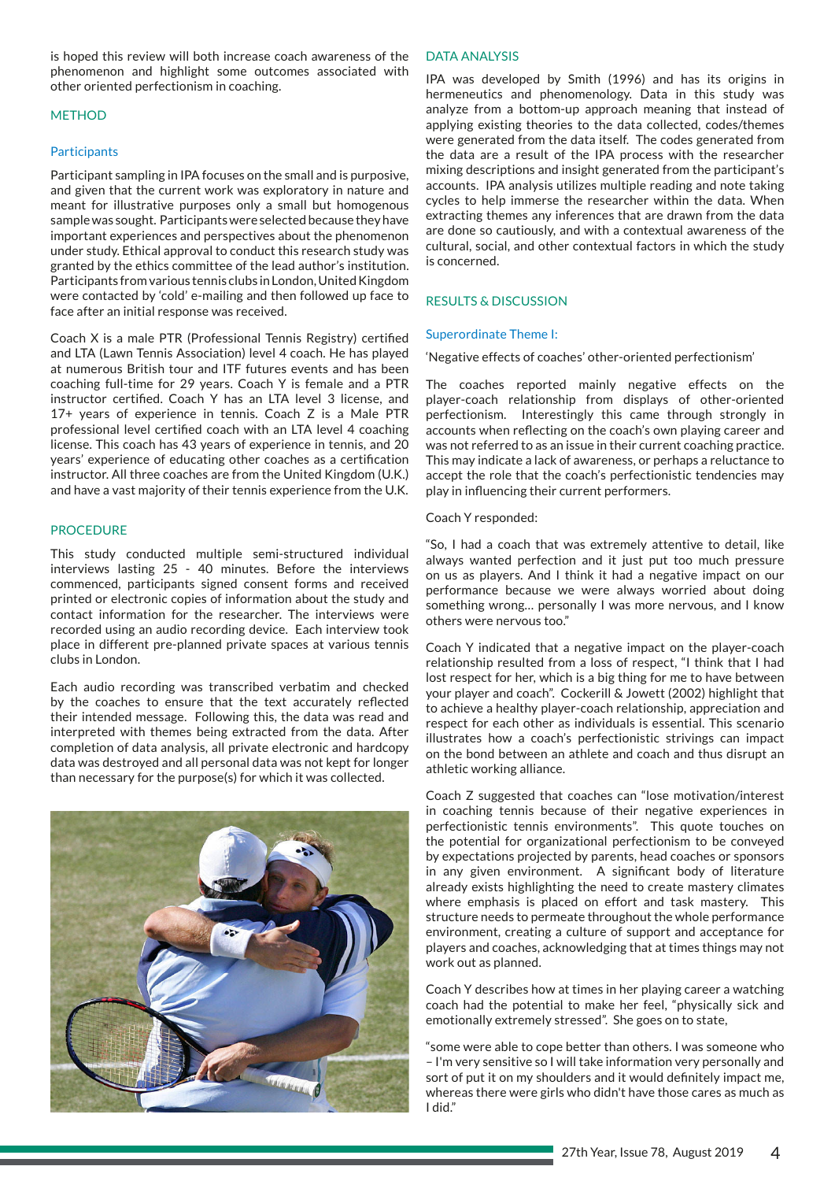is hoped this review will both increase coach awareness of the phenomenon and highlight some outcomes associated with other oriented perfectionism in coaching.

# **METHOD**

## **Participants**

Participant sampling in IPA focuses on the small and is purposive, and given that the current work was exploratory in nature and meant for illustrative purposes only a small but homogenous sample was sought. Participants were selected because they have important experiences and perspectives about the phenomenon under study. Ethical approval to conduct this research study was granted by the ethics committee of the lead author's institution. Participants from various tennis clubs in London, United Kingdom were contacted by 'cold' e-mailing and then followed up face to face after an initial response was received.

Coach X is a male PTR (Professional Tennis Registry) certifed and LTA (Lawn Tennis Association) level 4 coach. He has played at numerous British tour and ITF futures events and has been coaching full-time for 29 years. Coach Y is female and a PTR instructor certifed. Coach Y has an LTA level 3 license, and 17+ years of experience in tennis. Coach Z is a Male PTR professional level certifed coach with an LTA level 4 coaching license. This coach has 43 years of experience in tennis, and 20 years' experience of educating other coaches as a certifcation instructor. All three coaches are from the United Kingdom (U.K.) and have a vast majority of their tennis experience from the U.K.

## **PROCEDURE**

This study conducted multiple semi-structured individual interviews lasting 25 - 40 minutes. Before the interviews commenced, participants signed consent forms and received printed or electronic copies of information about the study and contact information for the researcher. The interviews were recorded using an audio recording device. Each interview took place in different pre-planned private spaces at various tennis clubs in London.

Each audio recording was transcribed verbatim and checked by the coaches to ensure that the text accurately refected their intended message. Following this, the data was read and interpreted with themes being extracted from the data. After completion of data analysis, all private electronic and hardcopy data was destroyed and all personal data was not kept for longer than necessary for the purpose(s) for which it was collected.



### DATA ANALYSIS

IPA was developed by Smith (1996) and has its origins in hermeneutics and phenomenology. Data in this study was analyze from a bottom-up approach meaning that instead of applying existing theories to the data collected, codes/themes were generated from the data itself. The codes generated from the data are a result of the IPA process with the researcher mixing descriptions and insight generated from the participant's accounts. IPA analysis utilizes multiple reading and note taking cycles to help immerse the researcher within the data. When extracting themes any inferences that are drawn from the data are done so cautiously, and with a contextual awareness of the cultural, social, and other contextual factors in which the study is concerned.

### RESULTS & DISCUSSION

#### Superordinate Theme I:

'Negative effects of coaches' other-oriented perfectionism'

The coaches reported mainly negative effects on the player-coach relationship from displays of other-oriented perfectionism. Interestingly this came through strongly in accounts when refecting on the coach's own playing career and was not referred to as an issue in their current coaching practice. This may indicate a lack of awareness, or perhaps a reluctance to accept the role that the coach's perfectionistic tendencies may play in infuencing their current performers.

#### Coach Y responded:

"So, I had a coach that was extremely attentive to detail, like always wanted perfection and it just put too much pressure on us as players. And I think it had a negative impact on our performance because we were always worried about doing something wrong… personally I was more nervous, and I know others were nervous too."

Coach Y indicated that a negative impact on the player-coach relationship resulted from a loss of respect, "I think that I had lost respect for her, which is a big thing for me to have between your player and coach". Cockerill & Jowett (2002) highlight that to achieve a healthy player-coach relationship, appreciation and respect for each other as individuals is essential. This scenario illustrates how a coach's perfectionistic strivings can impact on the bond between an athlete and coach and thus disrupt an athletic working alliance.

Coach Z suggested that coaches can "lose motivation/interest in coaching tennis because of their negative experiences in perfectionistic tennis environments". This quote touches on the potential for organizational perfectionism to be conveyed by expectations projected by parents, head coaches or sponsors in any given environment. A signifcant body of literature already exists highlighting the need to create mastery climates where emphasis is placed on effort and task mastery. This structure needs to permeate throughout the whole performance environment, creating a culture of support and acceptance for players and coaches, acknowledging that at times things may not work out as planned.

Coach Y describes how at times in her playing career a watching coach had the potential to make her feel, "physically sick and emotionally extremely stressed". She goes on to state,

"some were able to cope better than others. I was someone who – I'm very sensitive so I will take information very personally and sort of put it on my shoulders and it would defnitely impact me, whereas there were girls who didn't have those cares as much as I did."